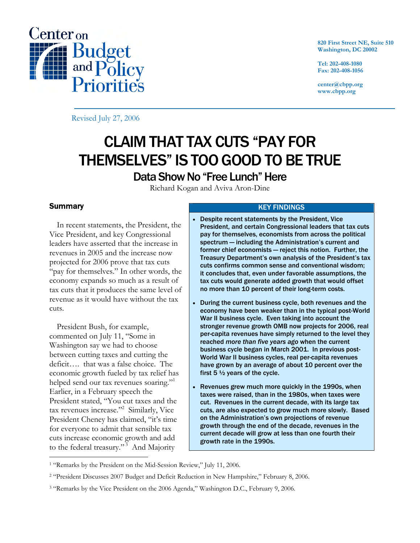

**820 First Street NE, Suite 510 Washington, DC 20002** 

**Tel: 202-408-1080 Fax: 202-408-1056** 

**center@cbpp.org www.cbpp.org** 

Revised July 27, 2006

# CLAIM THAT TAX CUTS "PAY FOR THEMSELVES" IS TOO GOOD TO BE TRUE Data Show No "Free Lunch" Here

Richard Kogan and Aviva Aron-Dine

# **Summary**

 $\overline{a}$ 

 In recent statements, the President, the Vice President, and key Congressional leaders have asserted that the increase in revenues in 2005 and the increase now projected for 2006 prove that tax cuts "pay for themselves." In other words, the economy expands so much as a result of tax cuts that it produces the same level of revenue as it would have without the tax cuts.

 President Bush, for example, commented on July 11, "Some in Washington say we had to choose between cutting taxes and cutting the deficit…. that was a false choice. The economic growth fueled by tax relief has helped send our tax revenues soaring."<sup>1</sup> Earlier, in a February speech the President stated, "You cut taxes and the tax revenues increase."<sup>2</sup> Similarly, Vice President Cheney has claimed, "it's time for everyone to admit that sensible tax cuts increase economic growth and add to the federal treasury."<sup>3</sup> And Majority

## KEY FINDINGS

- Despite recent statements by the President, Vice President, and certain Congressional leaders that tax cuts pay for themselves, economists from across the political spectrum — including the Administration's current and former chief economists — reject this notion. Further, the Treasury Department's own analysis of the President's tax cuts confirms common sense and conventional wisdom; it concludes that, even under favorable assumptions, the tax cuts would generate added growth that would offset no more than 10 percent of their long-term costs.
- During the current business cycle, both revenues and the economy have been weaker than in the typical post-World War II business cycle. Even taking into account the stronger revenue growth OMB now projects for 2006, real per-capita revenues have simply returned to the level they reached *more than five years ago* when the current business cycle began in March 2001. In previous post-World War II business cycles, real per-capita revenues have grown by an average of about 10 percent over the first 5  $\frac{1}{2}$  years of the cycle.
- Revenues grew much more quickly in the 1990s, when taxes were raised, than in the 1980s, when taxes were cut. Revenues in the current decade, with its large tax cuts, are also expected to grow much more slowly. Based on the Administration's own projections of revenue growth through the end of the decade, revenues in the current decade will grow at less than one fourth their growth rate in the 1990s.

<sup>1 &</sup>quot;Remarks by the President on the Mid-Session Review," July 11, 2006.

<sup>2 &</sup>quot;President Discusses 2007 Budget and Deficit Reduction in New Hampshire," February 8, 2006.

<sup>3 &</sup>quot;Remarks by the Vice President on the 2006 Agenda," Washington D.C., February 9, 2006.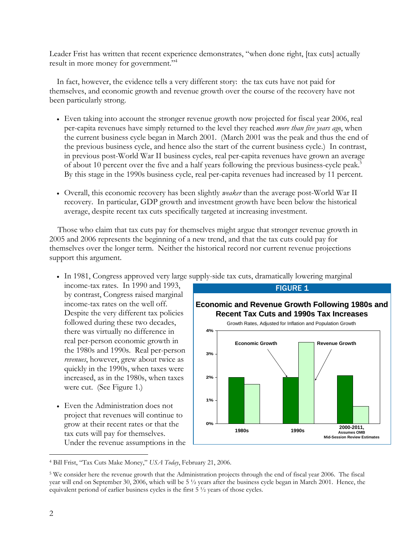Leader Frist has written that recent experience demonstrates, "when done right, [tax cuts] actually result in more money for government."<sup>4</sup>

 In fact, however, the evidence tells a very different story: the tax cuts have not paid for themselves, and economic growth and revenue growth over the course of the recovery have not been particularly strong.

- Even taking into account the stronger revenue growth now projected for fiscal year 2006, real per-capita revenues have simply returned to the level they reached *more than five years ago*, when the current business cycle began in March 2001. (March 2001 was the peak and thus the end of the previous business cycle, and hence also the start of the current business cycle.) In contrast, in previous post-World War II business cycles, real per-capita revenues have grown an average of about 10 percent over the five and a half years following the previous business-cycle peak.<sup>5</sup> By this stage in the 1990s business cycle, real per-capita revenues had increased by 11 percent.
- Overall, this economic recovery has been slightly *weaker* than the average post-World War II recovery. In particular, GDP growth and investment growth have been below the historical average, despite recent tax cuts specifically targeted at increasing investment.

Those who claim that tax cuts pay for themselves might argue that stronger revenue growth in 2005 and 2006 represents the beginning of a new trend, and that the tax cuts could pay for themselves over the longer term. Neither the historical record nor current revenue projections support this argument.

- In 1981, Congress approved very large supply-side tax cuts, dramatically lowering marginal
	- income-tax rates. In 1990 and 1993, by contrast, Congress raised marginal income-tax rates on the well off. Despite the very different tax policies followed during these two decades, there was virtually no difference in real per-person economic growth in the 1980s and 1990s. Real per-person *revenues*, however, grew about twice as quickly in the 1990s, when taxes were increased, as in the 1980s, when taxes were cut. (See Figure 1.)
- Even the Administration does not project that revenues will continue to grow at their recent rates or that the tax cuts will pay for themselves. Under the revenue assumptions in the



<sup>4</sup> Bill Frist, "Tax Cuts Make Money," *USA Today*, February 21, 2006.

 $\overline{a}$ 

<sup>5</sup> We consider here the revenue growth that the Administration projects through the end of fiscal year 2006. The fiscal year will end on September 30, 2006, which will be 5 ½ years after the business cycle began in March 2001. Hence, the equivalent periond of earlier business cycles is the first 5 ½ years of those cycles.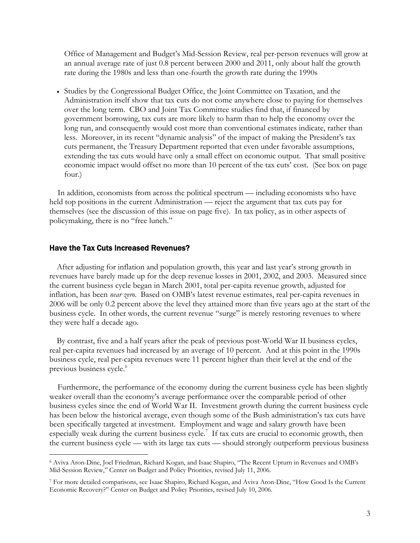Office of Management and Budget's Mid-Session Review, real per-person revenues will grow at an annual average rate of just 0.8 percent between 2000 and 2011, only about half the growth rate during the 1980s and less than one-fourth the growth rate during the 1990s

• Studies by the Congressional Budget Office, the Joint Committee on Taxation, and the Administration itself show that tax cuts do not come anywhere close to paying for themselves over the long term. CBO and Joint Tax Committee studies find that, if financed by government borrowing, tax cuts are more likely to harm than to help the economy over the long run, and consequently would cost more than conventional estimates indicate, rather than less. Moreover, in its recent "dynamic analysis" of the impact of making the President's tax cuts permanent, the Treasury Department reported that even under favorable assumptions, extending the tax cuts would have only a small effect on economic output. That small positive economic impact would offset no more than 10 percent of the tax cuts' cost. (See box on page four.)

In addition, economists from across the political spectrum — including economists who have held top positions in the current Administration — reject the argument that tax cuts pay for themselves (see the discussion of this issue on page five). In tax policy, as in other aspects of policymaking, there is no "free lunch."

#### Have the Tax Cuts Increased Revenues?

 $\overline{a}$ 

 After adjusting for inflation and population growth, this year and last year's strong growth in revenues have barely made up for the deep revenue losses in 2001, 2002, and 2003. Measured since the current business cycle began in March 2001, total per-capita revenue growth, adjusted for inflation, has been *near zero*. Based on OMB's latest revenue estimates, real per-capita revenues in 2006 will be only 0.2 percent above the level they attained more than five years ago at the start of the business cycle. In other words, the current revenue "surge" is merely restoring revenues to where they were half a decade ago.

By contrast, five and a half years after the peak of previous post-World War II business cycles, real per-capita revenues had increased by an average of 10 percent. And at this point in the 1990s business cycle, real per-capita revenues were 11 percent higher than their level at the end of the previous business cycle.<sup>6</sup>

Furthermore, the performance of the economy during the current business cycle has been slightly weaker overall than the economy's average performance over the comparable period of other business cycles since the end of World War II. Investment growth during the current business cycle has been below the historical average, even though some of the Bush administration's tax cuts have been specifically targeted at investment. Employment and wage and salary growth have been especially weak during the current business cycle.<sup>7</sup> If tax cuts are crucial to economic growth, then the current business cycle — with its large tax cuts — should strongly outperform previous business

<sup>6</sup> Aviva Aron-Dine, Joel Friedman, Richard Kogan, and Isaac Shapiro, "The Recent Upturn in Revenues and OMB's Mid-Session Review," Center on Budget and Policy Priorities, revised July 11, 2006.

<sup>7</sup> For more detailed comparisons, see Isaac Shapiro, Richard Kogan, and Aviva Aron-Dine, "How Good Is the Current Economic Recovery?" Center on Budget and Policy Priorities, revised July 10, 2006.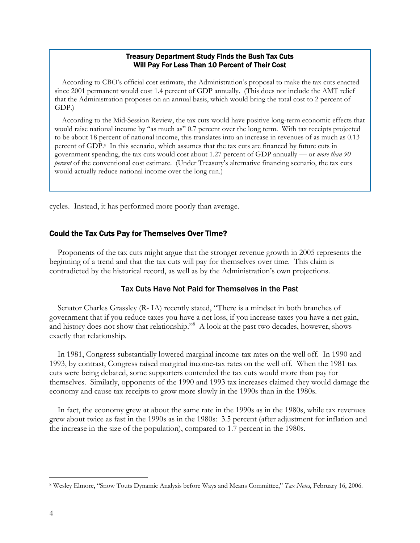#### Treasury Department Study Finds the Bush Tax Cuts Will Pay For Less Than 10 Percent of Their Cost

According to CBO's official cost estimate, the Administration's proposal to make the tax cuts enacted since 2001 permanent would cost 1.4 percent of GDP annually. (This does not include the AMT relief that the Administration proposes on an annual basis, which would bring the total cost to 2 percent of GDP.)

According to the Mid-Session Review, the tax cuts would have positive long-term economic effects that would raise national income by "as much as" 0.7 percent over the long term. With tax receipts projected to be about 18 percent of national income, this translates into an increase in revenues of as much as 0.13 percent of GDP.a In this scenario, which assumes that the tax cuts are financed by future cuts in government spending, the tax cuts would cost about 1.27 percent of GDP annually — or *more than 90 percent* of the conventional cost estimate. (Under Treasury's alternative financing scenario, the tax cuts would actually reduce national income over the long run.)

cycles. Instead, it has performed more poorly than average.

#### Could the Tax Cuts Pay for Themselves Over Time?

Proponents of the tax cuts might argue that the stronger revenue growth in 2005 represents the beginning of a trend and that the tax cuts will pay for themselves over time. This claim is contradicted by the historical record, as well as by the Administration's own projections.

## Tax Cuts Have Not Paid for Themselves in the Past

Senator Charles Grassley (R- IA) recently stated, "There is a mindset in both branches of government that if you reduce taxes you have a net loss, if you increase taxes you have a net gain, and history does not show that relationship."<sup>8</sup> A look at the past two decades, however, shows exactly that relationship.

In 1981, Congress substantially lowered marginal income-tax rates on the well off. In 1990 and 1993, by contrast, Congress raised marginal income-tax rates on the well off. When the 1981 tax cuts were being debated, some supporters contended the tax cuts would more than pay for themselves. Similarly, opponents of the 1990 and 1993 tax increases claimed they would damage the economy and cause tax receipts to grow more slowly in the 1990s than in the 1980s.

In fact, the economy grew at about the same rate in the 1990s as in the 1980s, while tax revenues grew about twice as fast in the 1990s as in the 1980s: 3.5 percent (after adjustment for inflation and the increase in the size of the population), compared to 1.7 percent in the 1980s.

 $\overline{a}$ 

<sup>8</sup> Wesley Elmore, "Snow Touts Dynamic Analysis before Ways and Means Committee," *Tax Notes*, February 16, 2006.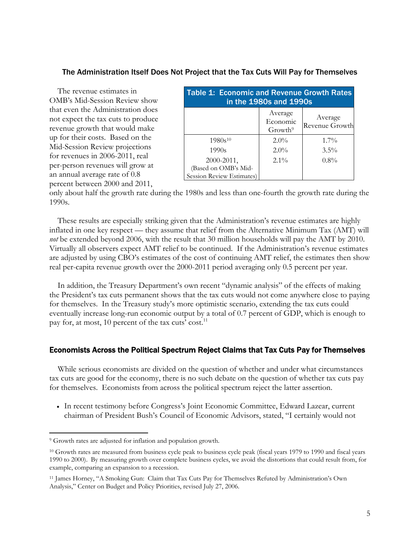# The Administration Itself Does Not Project that the Tax Cuts Will Pay for Themselves

The revenue estimates in OMB's Mid-Session Review show that even the Administration does not expect the tax cuts to produce revenue growth that would make up for their costs. Based on the Mid-Session Review projections for revenues in 2006-2011, real per-person revenues will grow at an annual average rate of 0.8 percent between 2000 and 2011,

| <b>Table 1: Economic and Revenue Growth Rates</b><br>in the 1980s and 1990s |                                            |                           |
|-----------------------------------------------------------------------------|--------------------------------------------|---------------------------|
|                                                                             | Average<br>Economic<br>Growth <sup>9</sup> | Average<br>Revenue Growth |
| $1980s^{10}$                                                                | $2.0\%$                                    | $1.7\%$                   |
| 1990s                                                                       | $2.0\%$                                    | $3.5\%$                   |
| 2000-2011,                                                                  | $2.1\%$                                    | $0.8\%$                   |
| (Based on OMB's Mid-                                                        |                                            |                           |
| Session Review Estimates)                                                   |                                            |                           |

only about half the growth rate during the 1980s and less than one-fourth the growth rate during the 1990s.

These results are especially striking given that the Administration's revenue estimates are highly inflated in one key respect — they assume that relief from the Alternative Minimum Tax (AMT) will *not* be extended beyond 2006, with the result that 30 million households will pay the AMT by 2010. Virtually all observers expect AMT relief to be continued. If the Administration's revenue estimates are adjusted by using CBO's estimates of the cost of continuing AMT relief, the estimates then show real per-capita revenue growth over the 2000-2011 period averaging only 0.5 percent per year.

In addition, the Treasury Department's own recent "dynamic analysis" of the effects of making the President's tax cuts permanent shows that the tax cuts would not come anywhere close to paying for themselves. In the Treasury study's more optimistic scenario, extending the tax cuts could eventually increase long-run economic output by a total of 0.7 percent of GDP, which is enough to pay for, at most, 10 percent of the tax cuts' cost. $^{11}$ 

## Economists Across the Political Spectrum Reject Claims that Tax Cuts Pay for Themselves

While serious economists are divided on the question of whether and under what circumstances tax cuts are good for the economy, there is no such debate on the question of whether tax cuts pay for themselves. Economists from across the political spectrum reject the latter assertion.

• In recent testimony before Congress's Joint Economic Committee, Edward Lazear, current chairman of President Bush's Council of Economic Advisors, stated, "I certainly would not

 $\overline{a}$ 

<sup>9</sup> Growth rates are adjusted for inflation and population growth.

<sup>10</sup> Growth rates are measured from business cycle peak to business cycle peak (fiscal years 1979 to 1990 and fiscal years 1990 to 2000). By measuring growth over complete business cycles, we avoid the distortions that could result from, for example, comparing an expansion to a recession.

<sup>11</sup> James Horney, "A Smoking Gun: Claim that Tax Cuts Pay for Themselves Refuted by Administration's Own Analysis," Center on Budget and Policy Priorities, revised July 27, 2006.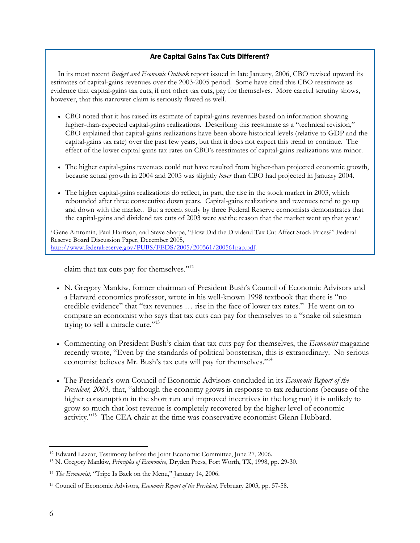# Are Capital Gains Tax Cuts Different?

 In its most recent *Budget and Economic Outlook* report issued in late January, 2006, CBO revised upward its estimates of capital-gains revenues over the 2003-2005 period. Some have cited this CBO reestimate as evidence that capital-gains tax cuts, if not other tax cuts, pay for themselves. More careful scrutiny shows, however, that this narrower claim is seriously flawed as well.

- CBO noted that it has raised its estimate of capital-gains revenues based on information showing higher-than-expected capital-gains realizations. Describing this reestimate as a "technical revision," CBO explained that capital-gains realizations have been above historical levels (relative to GDP and the capital-gains tax rate) over the past few years, but that it does not expect this trend to continue. The effect of the lower capital gains tax rates on CBO's reestimates of capital-gains realizations was minor.
- The higher capital-gains revenues could not have resulted from higher-than projected economic growth, because actual growth in 2004 and 2005 was slightly *lower* than CBO had projected in January 2004.
- The higher capital-gains realizations do reflect, in part, the rise in the stock market in 2003, which rebounded after three consecutive down years. Capital-gains realizations and revenues tend to go up and down with the market. But a recent study by three Federal Reserve economists demonstrates that the capital-gains and dividend tax cuts of 2003 were *not* the reason that the market went up that year.<sup>a</sup>

a Gene Amromin, Paul Harrison, and Steve Sharpe, "How Did the Dividend Tax Cut Affect Stock Prices?" Federal Reserve Board Discussion Paper, December 2005, http://www.federalreserve.gov/PUBS/FEDS/2005/200561/200561pap.pdf.

claim that tax cuts pay for themselves."12

- N. Gregory Mankiw, former chairman of President Bush's Council of Economic Advisors and a Harvard economics professor, wrote in his well-known 1998 textbook that there is "no credible evidence" that "tax revenues … rise in the face of lower tax rates." He went on to compare an economist who says that tax cuts can pay for themselves to a "snake oil salesman trying to sell a miracle cure."<sup>13</sup>
- Commenting on President Bush's claim that tax cuts pay for themselves, the *Economist* magazine recently wrote, "Even by the standards of political boosterism, this is extraordinary. No serious economist believes Mr. Bush's tax cuts will pay for themselves."<sup>14</sup>
- The President's own Council of Economic Advisors concluded in its *Economic Report of the President, 2003,* that, "although the economy grows in response to tax reductions (because of the higher consumption in the short run and improved incentives in the long run) it is unlikely to grow so much that lost revenue is completely recovered by the higher level of economic activity."15 The CEA chair at the time was conservative economist Glenn Hubbard.

 $\overline{a}$ 12 Edward Lazear, Testimony before the Joint Economic Committee, June 27, 2006. 13 N. Gregory Mankiw, *Principles of Economic*s*,* Dryden Press, Fort Worth, TX, 1998, pp. 29-30.

<sup>14</sup> *The Economist,* "Tripe Is Back on the Menu," January 14, 2006.

<sup>15</sup> Council of Economic Advisors, *Economic Report of the President,* February 2003, pp. 57-58.